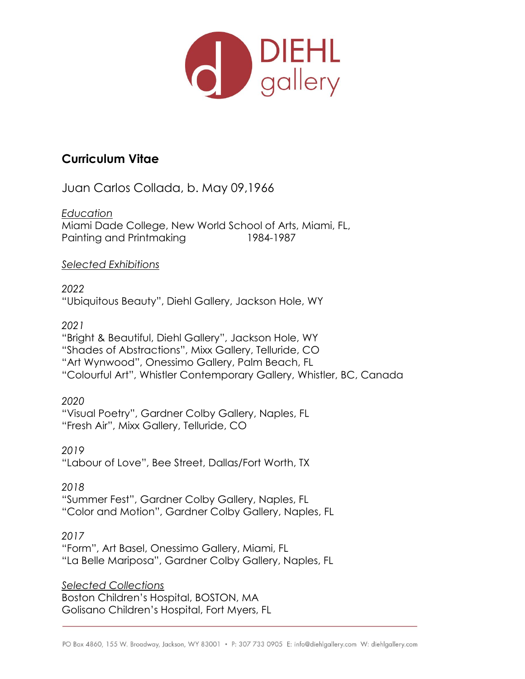

## **Curriculum Vitae**

Juan Carlos Collada, b. May 09,1966

*Education*

Miami Dade College, New World School of Arts, Miami, FL, Painting and Printmaking 1984-1987

*Selected Exhibitions*

*2022*  "Ubiquitous Beauty", Diehl Gallery, Jackson Hole, WY

*2021*

"Bright & Beautiful, Diehl Gallery", Jackson Hole, WY "Shades of Abstractions", Mixx Gallery, Telluride, CO "Art Wynwood", Onessimo Gallery, Palm Beach, FL "Colourful Art", Whistler Contemporary Gallery, Whistler, BC, Canada

*2020* "Visual Poetry", Gardner Colby Gallery, Naples, FL "Fresh Air", Mixx Gallery, Telluride, CO

*2019* "Labour of Love", Bee Street, Dallas/Fort Worth, TX

*2018* "Summer Fest", Gardner Colby Gallery, Naples, FL "Color and Motion", Gardner Colby Gallery, Naples, FL

*2017* "Form", Art Basel, Onessimo Gallery, Miami, FL "La Belle Mariposa", Gardner Colby Gallery, Naples, FL

*Selected Collections* Boston Children's Hospital, BOSTON, MA Golisano Children's Hospital, Fort Myers, FL